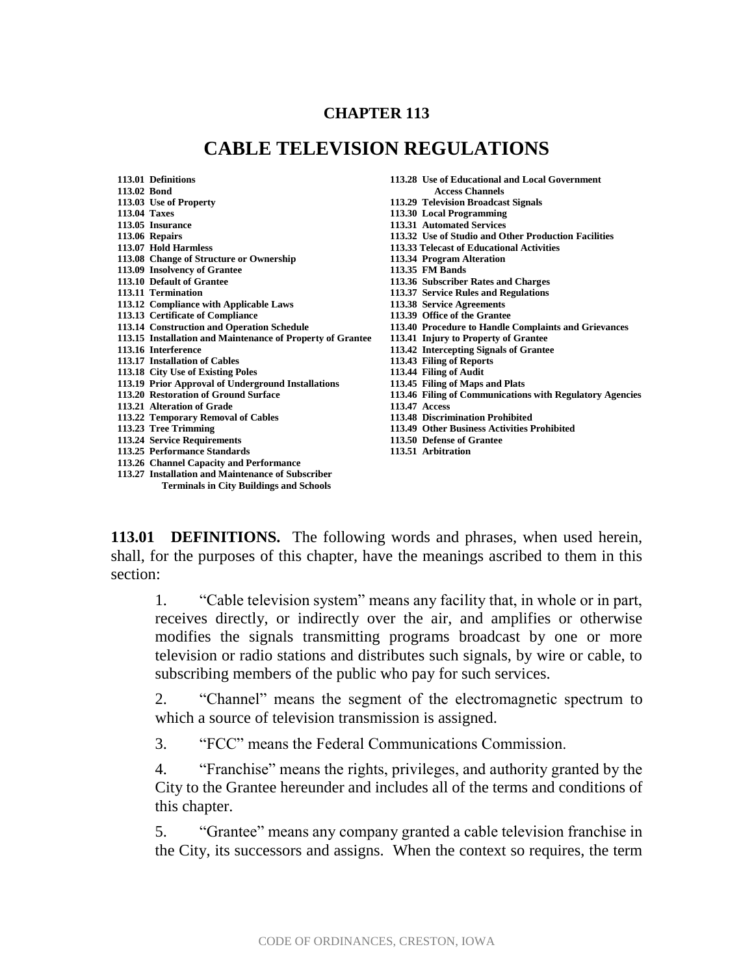## **CHAPTER 113**

## **CABLE TELEVISION REGULATIONS**

|              | 113.01 Definitions                                         | 113.28 Use of Educational and Local Government           |
|--------------|------------------------------------------------------------|----------------------------------------------------------|
| 113.02 Bond  |                                                            | <b>Access Channels</b>                                   |
|              | 113.03 Use of Property                                     | 113.29 Television Broadcast Signals                      |
| 113.04 Taxes |                                                            | 113.30 Local Programming                                 |
|              | 113.05 Insurance                                           | 113.31 Automated Services                                |
|              | 113.06 Repairs                                             | 113.32 Use of Studio and Other Production Facilities     |
|              | 113.07 Hold Harmless                                       | 113.33 Telecast of Educational Activities                |
|              | 113.08 Change of Structure or Ownership                    | 113.34 Program Alteration                                |
|              | 113.09 Insolvency of Grantee                               | 113.35 FM Bands                                          |
|              | 113.10 Default of Grantee                                  | 113.36 Subscriber Rates and Charges                      |
|              | 113.11 Termination                                         | 113.37 Service Rules and Regulations                     |
|              | 113.12 Compliance with Applicable Laws                     | 113.38 Service Agreements                                |
|              | 113.13 Certificate of Compliance                           | 113.39 Office of the Grantee                             |
|              | 113.14 Construction and Operation Schedule                 | 113.40 Procedure to Handle Complaints and Grievances     |
|              | 113.15 Installation and Maintenance of Property of Grantee | 113.41 Injury to Property of Grantee                     |
|              | 113.16 Interference                                        | 113.42 Intercepting Signals of Grantee                   |
|              | 113.17 Installation of Cables                              | 113.43 Filing of Reports                                 |
|              | 113.18 City Use of Existing Poles                          | 113.44 Filing of Audit                                   |
|              | 113.19 Prior Approval of Underground Installations         | 113.45 Filing of Maps and Plats                          |
|              | 113.20 Restoration of Ground Surface                       | 113.46 Filing of Communications with Regulatory Agencies |
|              | 113.21 Alteration of Grade                                 | 113.47 Access                                            |
|              | 113.22 Temporary Removal of Cables                         | 113.48 Discrimination Prohibited                         |
|              | 113.23 Tree Trimming                                       | 113.49 Other Business Activities Prohibited              |
|              | 113.24 Service Requirements                                | 113.50 Defense of Grantee                                |
|              | 113.25 Performance Standards                               | 113.51 Arbitration                                       |
|              | 113.26 Channel Capacity and Performance                    |                                                          |
|              | 113.27 Installation and Maintenance of Subscriber          |                                                          |
|              | <b>Terminals in City Buildings and Schools</b>             |                                                          |

**113.01 DEFINITIONS.** The following words and phrases, when used herein, shall, for the purposes of this chapter, have the meanings ascribed to them in this section:

1. "Cable television system" means any facility that, in whole or in part, receives directly, or indirectly over the air, and amplifies or otherwise modifies the signals transmitting programs broadcast by one or more television or radio stations and distributes such signals, by wire or cable, to subscribing members of the public who pay for such services.

2. "Channel" means the segment of the electromagnetic spectrum to which a source of television transmission is assigned.

3. "FCC" means the Federal Communications Commission.

4. "Franchise" means the rights, privileges, and authority granted by the City to the Grantee hereunder and includes all of the terms and conditions of this chapter.

5. "Grantee" means any company granted a cable television franchise in the City, its successors and assigns. When the context so requires, the term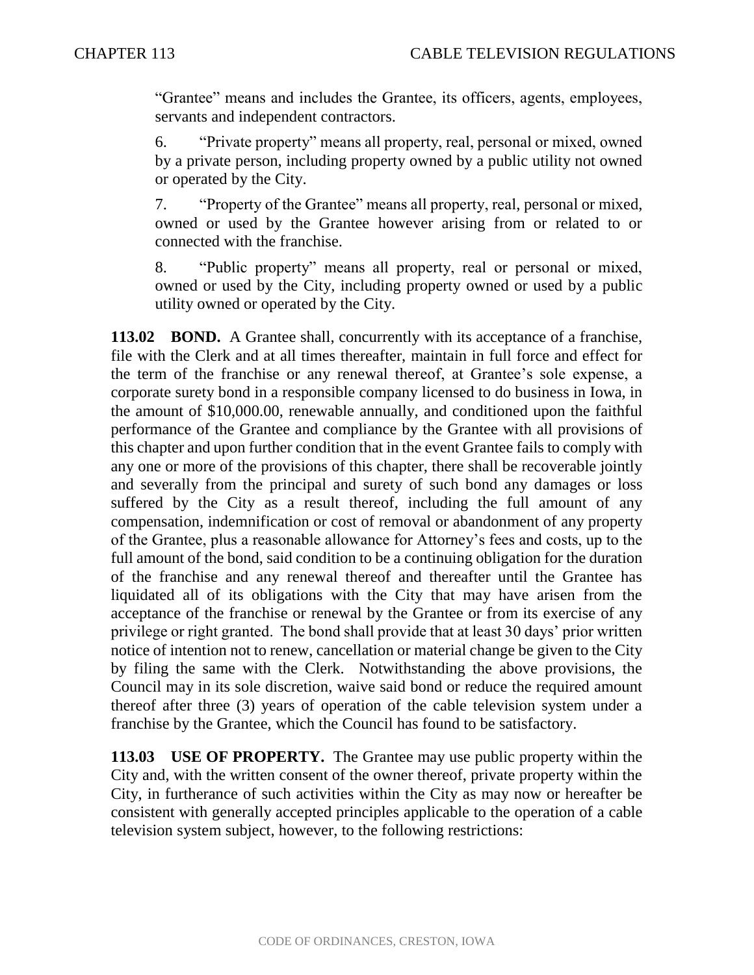"Grantee" means and includes the Grantee, its officers, agents, employees, servants and independent contractors.

6. "Private property" means all property, real, personal or mixed, owned by a private person, including property owned by a public utility not owned or operated by the City.

7. "Property of the Grantee" means all property, real, personal or mixed, owned or used by the Grantee however arising from or related to or connected with the franchise.

8. "Public property" means all property, real or personal or mixed, owned or used by the City, including property owned or used by a public utility owned or operated by the City.

**113.02 BOND.** A Grantee shall, concurrently with its acceptance of a franchise, file with the Clerk and at all times thereafter, maintain in full force and effect for the term of the franchise or any renewal thereof, at Grantee's sole expense, a corporate surety bond in a responsible company licensed to do business in Iowa, in the amount of \$10,000.00, renewable annually, and conditioned upon the faithful performance of the Grantee and compliance by the Grantee with all provisions of this chapter and upon further condition that in the event Grantee fails to comply with any one or more of the provisions of this chapter, there shall be recoverable jointly and severally from the principal and surety of such bond any damages or loss suffered by the City as a result thereof, including the full amount of any compensation, indemnification or cost of removal or abandonment of any property of the Grantee, plus a reasonable allowance for Attorney's fees and costs, up to the full amount of the bond, said condition to be a continuing obligation for the duration of the franchise and any renewal thereof and thereafter until the Grantee has liquidated all of its obligations with the City that may have arisen from the acceptance of the franchise or renewal by the Grantee or from its exercise of any privilege or right granted. The bond shall provide that at least 30 days' prior written notice of intention not to renew, cancellation or material change be given to the City by filing the same with the Clerk. Notwithstanding the above provisions, the Council may in its sole discretion, waive said bond or reduce the required amount thereof after three (3) years of operation of the cable television system under a franchise by the Grantee, which the Council has found to be satisfactory.

**113.03 USE OF PROPERTY.** The Grantee may use public property within the City and, with the written consent of the owner thereof, private property within the City, in furtherance of such activities within the City as may now or hereafter be consistent with generally accepted principles applicable to the operation of a cable television system subject, however, to the following restrictions: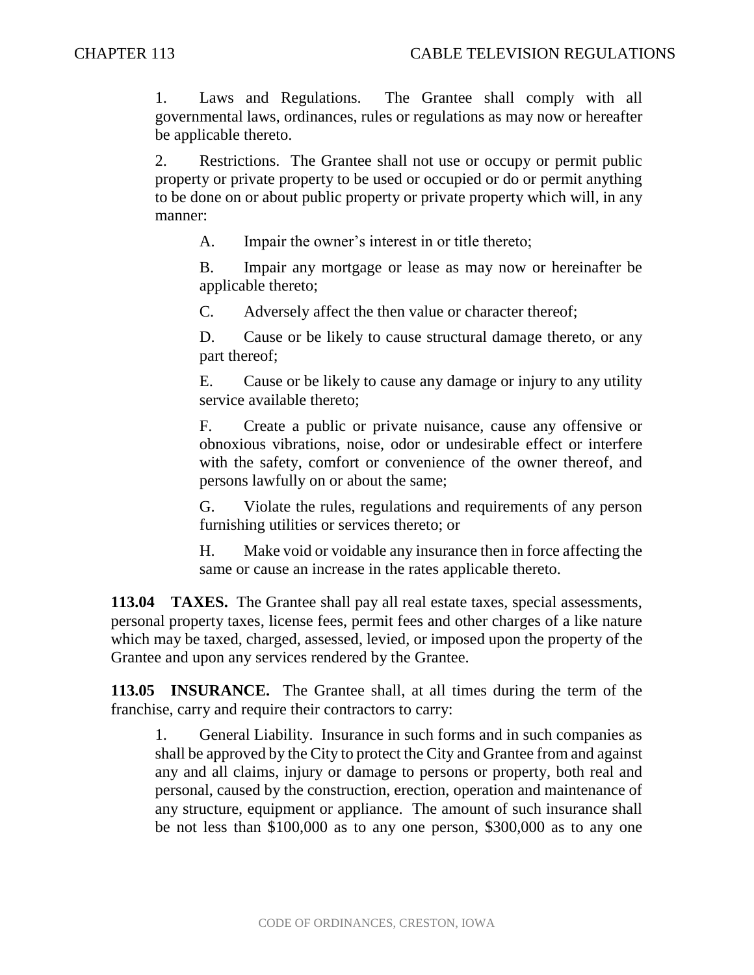1. Laws and Regulations. The Grantee shall comply with all governmental laws, ordinances, rules or regulations as may now or hereafter be applicable thereto.

2. Restrictions. The Grantee shall not use or occupy or permit public property or private property to be used or occupied or do or permit anything to be done on or about public property or private property which will, in any manner:

A. Impair the owner's interest in or title thereto;

B. Impair any mortgage or lease as may now or hereinafter be applicable thereto;

C. Adversely affect the then value or character thereof;

D. Cause or be likely to cause structural damage thereto, or any part thereof;

E. Cause or be likely to cause any damage or injury to any utility service available thereto;

F. Create a public or private nuisance, cause any offensive or obnoxious vibrations, noise, odor or undesirable effect or interfere with the safety, comfort or convenience of the owner thereof, and persons lawfully on or about the same;

G. Violate the rules, regulations and requirements of any person furnishing utilities or services thereto; or

H. Make void or voidable any insurance then in force affecting the same or cause an increase in the rates applicable thereto.

**113.04 TAXES.** The Grantee shall pay all real estate taxes, special assessments, personal property taxes, license fees, permit fees and other charges of a like nature which may be taxed, charged, assessed, levied, or imposed upon the property of the Grantee and upon any services rendered by the Grantee.

**113.05 INSURANCE.** The Grantee shall, at all times during the term of the franchise, carry and require their contractors to carry:

1. General Liability. Insurance in such forms and in such companies as shall be approved by the City to protect the City and Grantee from and against any and all claims, injury or damage to persons or property, both real and personal, caused by the construction, erection, operation and maintenance of any structure, equipment or appliance. The amount of such insurance shall be not less than \$100,000 as to any one person, \$300,000 as to any one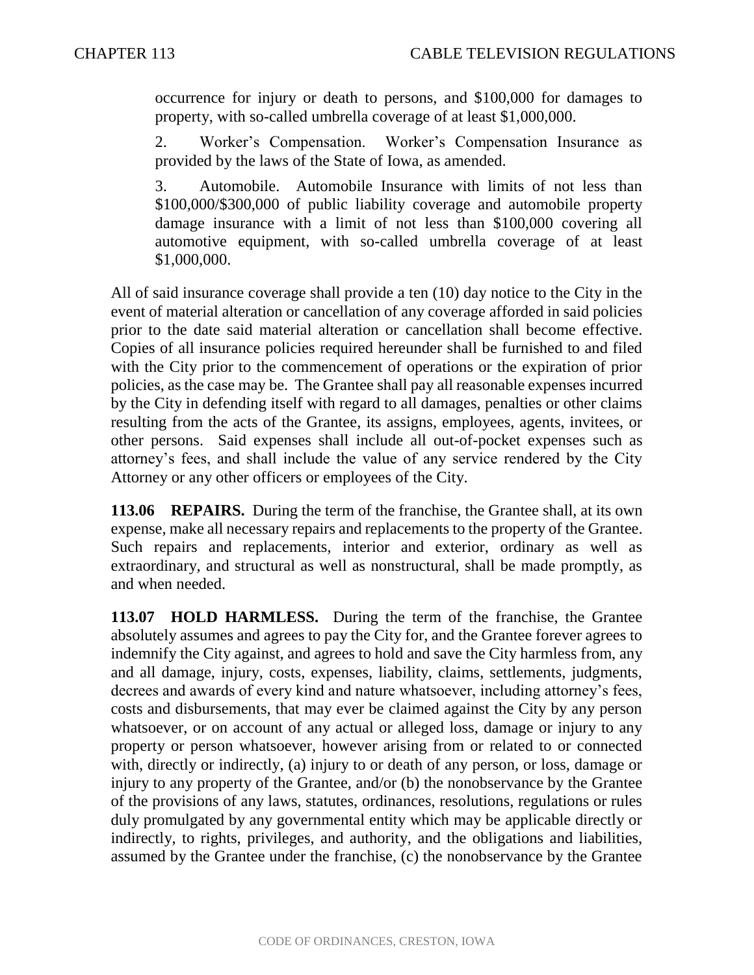occurrence for injury or death to persons, and \$100,000 for damages to property, with so-called umbrella coverage of at least \$1,000,000.

2. Worker's Compensation. Worker's Compensation Insurance as provided by the laws of the State of Iowa, as amended.

3. Automobile. Automobile Insurance with limits of not less than \$100,000/\$300,000 of public liability coverage and automobile property damage insurance with a limit of not less than \$100,000 covering all automotive equipment, with so-called umbrella coverage of at least \$1,000,000.

All of said insurance coverage shall provide a ten (10) day notice to the City in the event of material alteration or cancellation of any coverage afforded in said policies prior to the date said material alteration or cancellation shall become effective. Copies of all insurance policies required hereunder shall be furnished to and filed with the City prior to the commencement of operations or the expiration of prior policies, as the case may be. The Grantee shall pay all reasonable expenses incurred by the City in defending itself with regard to all damages, penalties or other claims resulting from the acts of the Grantee, its assigns, employees, agents, invitees, or other persons. Said expenses shall include all out-of-pocket expenses such as attorney's fees, and shall include the value of any service rendered by the City Attorney or any other officers or employees of the City.

**113.06 REPAIRS.** During the term of the franchise, the Grantee shall, at its own expense, make all necessary repairs and replacements to the property of the Grantee. Such repairs and replacements, interior and exterior, ordinary as well as extraordinary, and structural as well as nonstructural, shall be made promptly, as and when needed.

**113.07 HOLD HARMLESS.** During the term of the franchise, the Grantee absolutely assumes and agrees to pay the City for, and the Grantee forever agrees to indemnify the City against, and agrees to hold and save the City harmless from, any and all damage, injury, costs, expenses, liability, claims, settlements, judgments, decrees and awards of every kind and nature whatsoever, including attorney's fees, costs and disbursements, that may ever be claimed against the City by any person whatsoever, or on account of any actual or alleged loss, damage or injury to any property or person whatsoever, however arising from or related to or connected with, directly or indirectly, (a) injury to or death of any person, or loss, damage or injury to any property of the Grantee, and/or (b) the nonobservance by the Grantee of the provisions of any laws, statutes, ordinances, resolutions, regulations or rules duly promulgated by any governmental entity which may be applicable directly or indirectly, to rights, privileges, and authority, and the obligations and liabilities, assumed by the Grantee under the franchise, (c) the nonobservance by the Grantee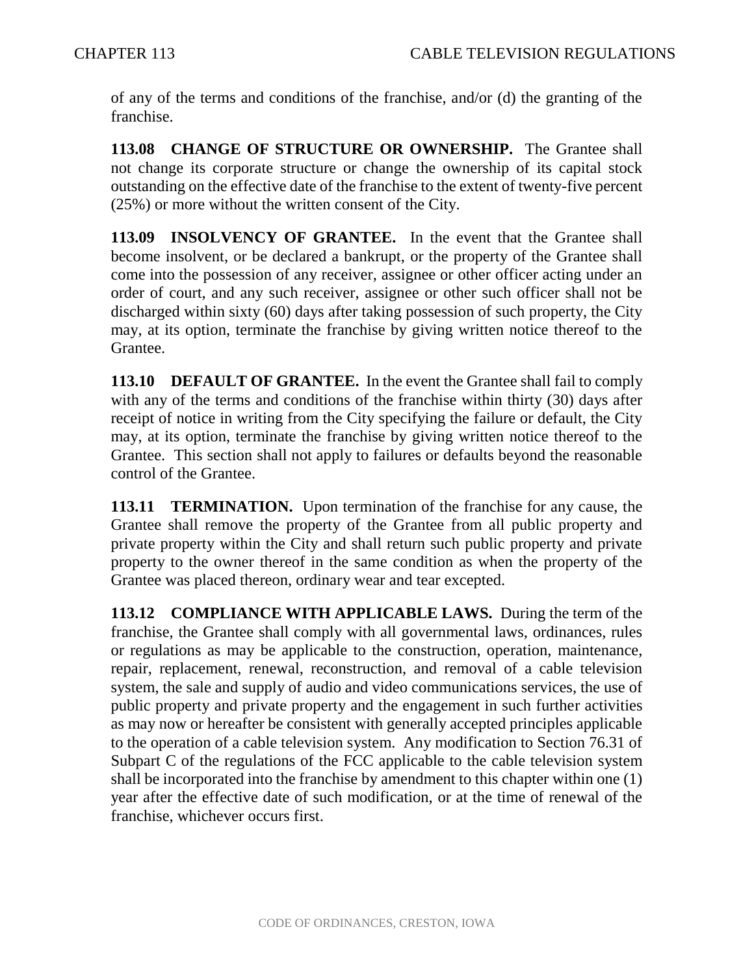of any of the terms and conditions of the franchise, and/or (d) the granting of the franchise.

113.08 CHANGE OF STRUCTURE OR OWNERSHIP. The Grantee shall not change its corporate structure or change the ownership of its capital stock outstanding on the effective date of the franchise to the extent of twenty-five percent (25%) or more without the written consent of the City.

**113.09 INSOLVENCY OF GRANTEE.** In the event that the Grantee shall become insolvent, or be declared a bankrupt, or the property of the Grantee shall come into the possession of any receiver, assignee or other officer acting under an order of court, and any such receiver, assignee or other such officer shall not be discharged within sixty (60) days after taking possession of such property, the City may, at its option, terminate the franchise by giving written notice thereof to the Grantee.

**113.10 DEFAULT OF GRANTEE.** In the event the Grantee shall fail to comply with any of the terms and conditions of the franchise within thirty (30) days after receipt of notice in writing from the City specifying the failure or default, the City may, at its option, terminate the franchise by giving written notice thereof to the Grantee. This section shall not apply to failures or defaults beyond the reasonable control of the Grantee.

**113.11 TERMINATION.** Upon termination of the franchise for any cause, the Grantee shall remove the property of the Grantee from all public property and private property within the City and shall return such public property and private property to the owner thereof in the same condition as when the property of the Grantee was placed thereon, ordinary wear and tear excepted.

**113.12 COMPLIANCE WITH APPLICABLE LAWS.** During the term of the franchise, the Grantee shall comply with all governmental laws, ordinances, rules or regulations as may be applicable to the construction, operation, maintenance, repair, replacement, renewal, reconstruction, and removal of a cable television system, the sale and supply of audio and video communications services, the use of public property and private property and the engagement in such further activities as may now or hereafter be consistent with generally accepted principles applicable to the operation of a cable television system. Any modification to Section 76.31 of Subpart C of the regulations of the FCC applicable to the cable television system shall be incorporated into the franchise by amendment to this chapter within one (1) year after the effective date of such modification, or at the time of renewal of the franchise, whichever occurs first.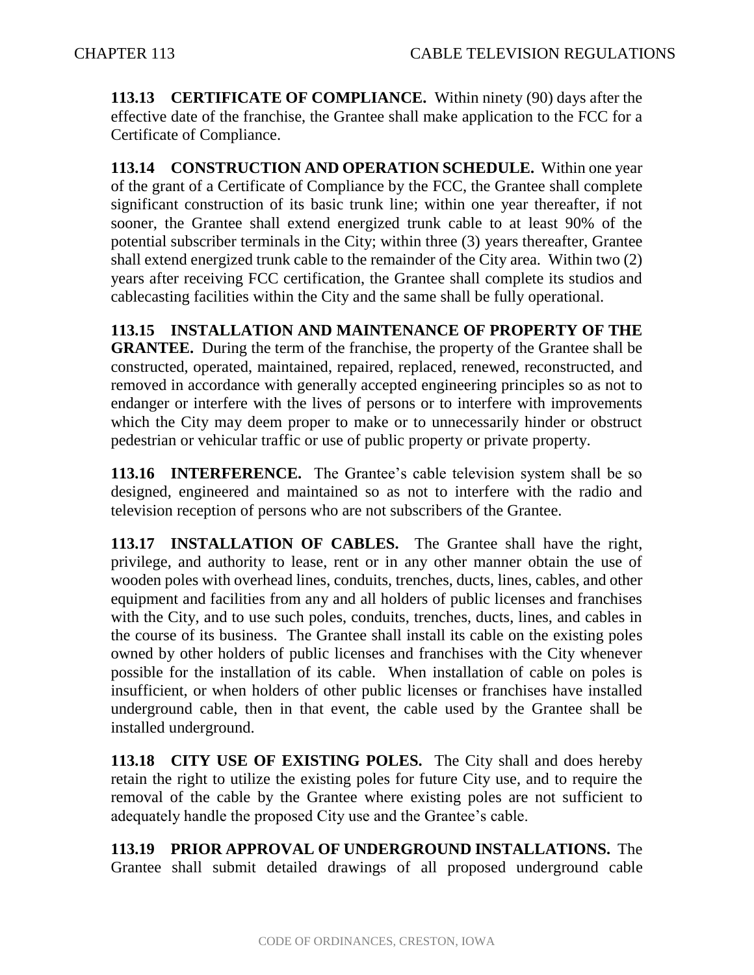**113.13 CERTIFICATE OF COMPLIANCE.** Within ninety (90) days after the effective date of the franchise, the Grantee shall make application to the FCC for a Certificate of Compliance.

**113.14 CONSTRUCTION AND OPERATION SCHEDULE.** Within one year of the grant of a Certificate of Compliance by the FCC, the Grantee shall complete significant construction of its basic trunk line; within one year thereafter, if not sooner, the Grantee shall extend energized trunk cable to at least 90% of the potential subscriber terminals in the City; within three (3) years thereafter, Grantee shall extend energized trunk cable to the remainder of the City area. Within two (2) years after receiving FCC certification, the Grantee shall complete its studios and cablecasting facilities within the City and the same shall be fully operational.

**113.15 INSTALLATION AND MAINTENANCE OF PROPERTY OF THE GRANTEE.** During the term of the franchise, the property of the Grantee shall be constructed, operated, maintained, repaired, replaced, renewed, reconstructed, and removed in accordance with generally accepted engineering principles so as not to endanger or interfere with the lives of persons or to interfere with improvements which the City may deem proper to make or to unnecessarily hinder or obstruct pedestrian or vehicular traffic or use of public property or private property.

**113.16 INTERFERENCE.** The Grantee's cable television system shall be so designed, engineered and maintained so as not to interfere with the radio and television reception of persons who are not subscribers of the Grantee.

**113.17 INSTALLATION OF CABLES.** The Grantee shall have the right, privilege, and authority to lease, rent or in any other manner obtain the use of wooden poles with overhead lines, conduits, trenches, ducts, lines, cables, and other equipment and facilities from any and all holders of public licenses and franchises with the City, and to use such poles, conduits, trenches, ducts, lines, and cables in the course of its business. The Grantee shall install its cable on the existing poles owned by other holders of public licenses and franchises with the City whenever possible for the installation of its cable. When installation of cable on poles is insufficient, or when holders of other public licenses or franchises have installed underground cable, then in that event, the cable used by the Grantee shall be installed underground.

**113.18 CITY USE OF EXISTING POLES.** The City shall and does hereby retain the right to utilize the existing poles for future City use, and to require the removal of the cable by the Grantee where existing poles are not sufficient to adequately handle the proposed City use and the Grantee's cable.

**113.19 PRIOR APPROVAL OF UNDERGROUND INSTALLATIONS.** The Grantee shall submit detailed drawings of all proposed underground cable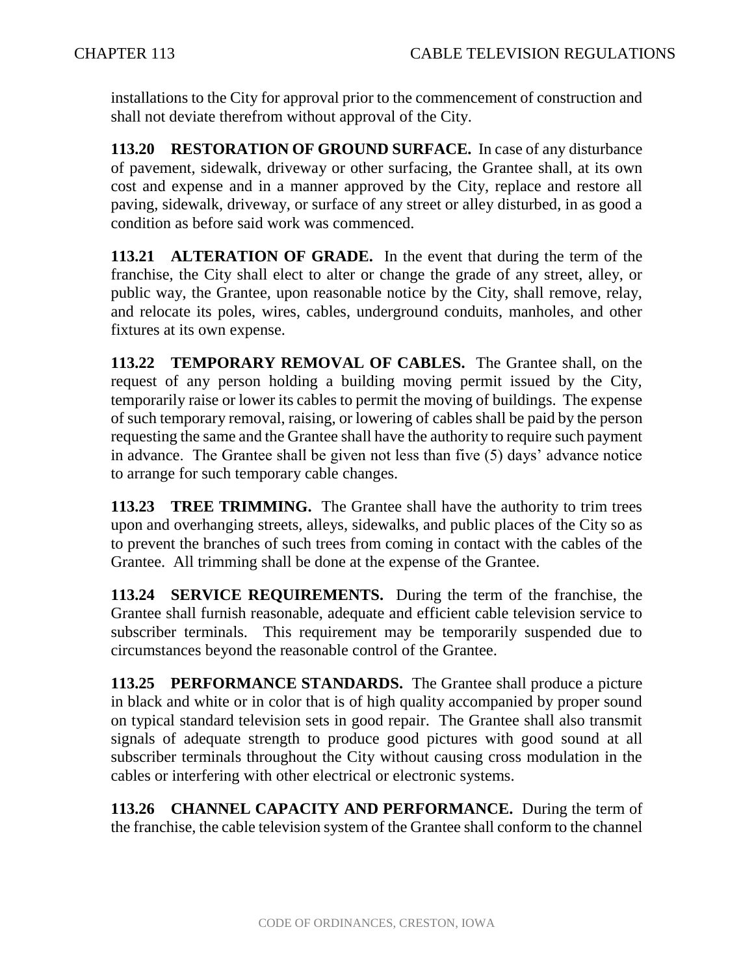installations to the City for approval prior to the commencement of construction and shall not deviate therefrom without approval of the City.

**113.20 RESTORATION OF GROUND SURFACE.** In case of any disturbance of pavement, sidewalk, driveway or other surfacing, the Grantee shall, at its own cost and expense and in a manner approved by the City, replace and restore all paving, sidewalk, driveway, or surface of any street or alley disturbed, in as good a condition as before said work was commenced.

**113.21 ALTERATION OF GRADE.** In the event that during the term of the franchise, the City shall elect to alter or change the grade of any street, alley, or public way, the Grantee, upon reasonable notice by the City, shall remove, relay, and relocate its poles, wires, cables, underground conduits, manholes, and other fixtures at its own expense.

**113.22 TEMPORARY REMOVAL OF CABLES.** The Grantee shall, on the request of any person holding a building moving permit issued by the City, temporarily raise or lower its cables to permit the moving of buildings. The expense of such temporary removal, raising, or lowering of cables shall be paid by the person requesting the same and the Grantee shall have the authority to require such payment in advance. The Grantee shall be given not less than five (5) days' advance notice to arrange for such temporary cable changes.

**113.23 TREE TRIMMING.** The Grantee shall have the authority to trim trees upon and overhanging streets, alleys, sidewalks, and public places of the City so as to prevent the branches of such trees from coming in contact with the cables of the Grantee. All trimming shall be done at the expense of the Grantee.

**113.24 SERVICE REQUIREMENTS.** During the term of the franchise, the Grantee shall furnish reasonable, adequate and efficient cable television service to subscriber terminals. This requirement may be temporarily suspended due to circumstances beyond the reasonable control of the Grantee.

**113.25 PERFORMANCE STANDARDS.** The Grantee shall produce a picture in black and white or in color that is of high quality accompanied by proper sound on typical standard television sets in good repair. The Grantee shall also transmit signals of adequate strength to produce good pictures with good sound at all subscriber terminals throughout the City without causing cross modulation in the cables or interfering with other electrical or electronic systems.

**113.26 CHANNEL CAPACITY AND PERFORMANCE.** During the term of the franchise, the cable television system of the Grantee shall conform to the channel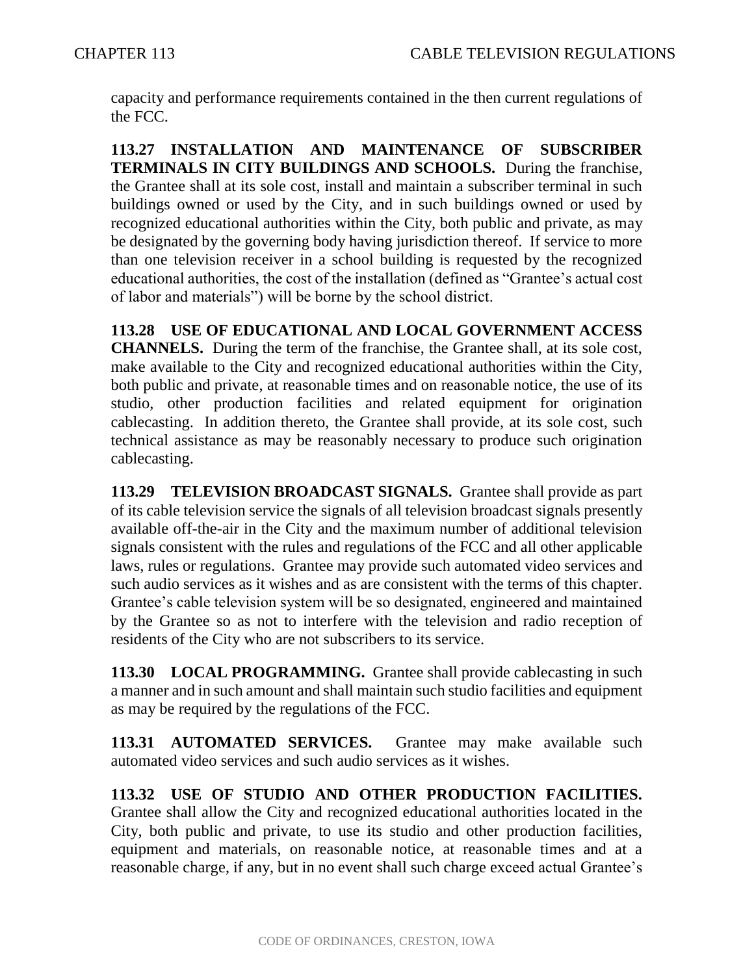capacity and performance requirements contained in the then current regulations of the FCC.

**113.27 INSTALLATION AND MAINTENANCE OF SUBSCRIBER TERMINALS IN CITY BUILDINGS AND SCHOOLS.** During the franchise, the Grantee shall at its sole cost, install and maintain a subscriber terminal in such buildings owned or used by the City, and in such buildings owned or used by recognized educational authorities within the City, both public and private, as may be designated by the governing body having jurisdiction thereof. If service to more than one television receiver in a school building is requested by the recognized educational authorities, the cost of the installation (defined as "Grantee's actual cost of labor and materials") will be borne by the school district.

**113.28 USE OF EDUCATIONAL AND LOCAL GOVERNMENT ACCESS CHANNELS.** During the term of the franchise, the Grantee shall, at its sole cost, make available to the City and recognized educational authorities within the City, both public and private, at reasonable times and on reasonable notice, the use of its studio, other production facilities and related equipment for origination cablecasting. In addition thereto, the Grantee shall provide, at its sole cost, such technical assistance as may be reasonably necessary to produce such origination cablecasting.

**113.29 TELEVISION BROADCAST SIGNALS.** Grantee shall provide as part of its cable television service the signals of all television broadcast signals presently available off-the-air in the City and the maximum number of additional television signals consistent with the rules and regulations of the FCC and all other applicable laws, rules or regulations. Grantee may provide such automated video services and such audio services as it wishes and as are consistent with the terms of this chapter. Grantee's cable television system will be so designated, engineered and maintained by the Grantee so as not to interfere with the television and radio reception of residents of the City who are not subscribers to its service.

**113.30 LOCAL PROGRAMMING.** Grantee shall provide cablecasting in such a manner and in such amount and shall maintain such studio facilities and equipment as may be required by the regulations of the FCC.

**113.31 AUTOMATED SERVICES.** Grantee may make available such automated video services and such audio services as it wishes.

**113.32 USE OF STUDIO AND OTHER PRODUCTION FACILITIES.** Grantee shall allow the City and recognized educational authorities located in the City, both public and private, to use its studio and other production facilities, equipment and materials, on reasonable notice, at reasonable times and at a reasonable charge, if any, but in no event shall such charge exceed actual Grantee's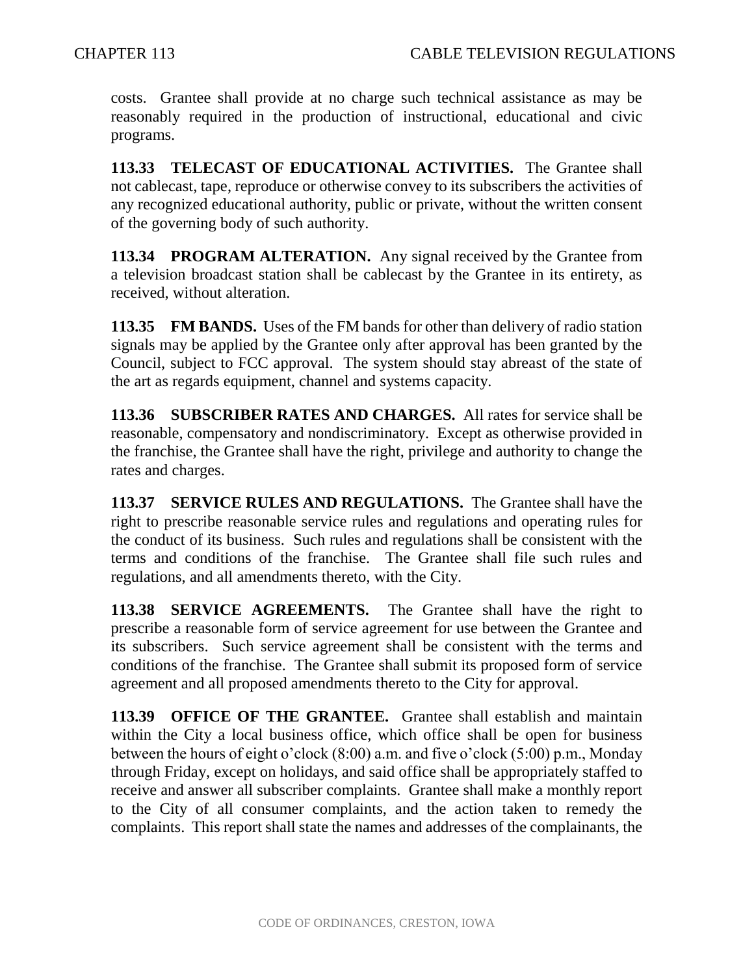costs. Grantee shall provide at no charge such technical assistance as may be reasonably required in the production of instructional, educational and civic programs.

**113.33 TELECAST OF EDUCATIONAL ACTIVITIES.** The Grantee shall not cablecast, tape, reproduce or otherwise convey to its subscribers the activities of any recognized educational authority, public or private, without the written consent of the governing body of such authority.

**113.34 PROGRAM ALTERATION.** Any signal received by the Grantee from a television broadcast station shall be cablecast by the Grantee in its entirety, as received, without alteration.

**113.35 FM BANDS.** Uses of the FM bands for other than delivery of radio station signals may be applied by the Grantee only after approval has been granted by the Council, subject to FCC approval. The system should stay abreast of the state of the art as regards equipment, channel and systems capacity.

**113.36 SUBSCRIBER RATES AND CHARGES.** All rates for service shall be reasonable, compensatory and nondiscriminatory. Except as otherwise provided in the franchise, the Grantee shall have the right, privilege and authority to change the rates and charges.

**113.37 SERVICE RULES AND REGULATIONS.** The Grantee shall have the right to prescribe reasonable service rules and regulations and operating rules for the conduct of its business. Such rules and regulations shall be consistent with the terms and conditions of the franchise. The Grantee shall file such rules and regulations, and all amendments thereto, with the City.

**113.38 SERVICE AGREEMENTS.** The Grantee shall have the right to prescribe a reasonable form of service agreement for use between the Grantee and its subscribers. Such service agreement shall be consistent with the terms and conditions of the franchise. The Grantee shall submit its proposed form of service agreement and all proposed amendments thereto to the City for approval.

**113.39 OFFICE OF THE GRANTEE.** Grantee shall establish and maintain within the City a local business office, which office shall be open for business between the hours of eight o'clock (8:00) a.m. and five o'clock (5:00) p.m., Monday through Friday, except on holidays, and said office shall be appropriately staffed to receive and answer all subscriber complaints. Grantee shall make a monthly report to the City of all consumer complaints, and the action taken to remedy the complaints. This report shall state the names and addresses of the complainants, the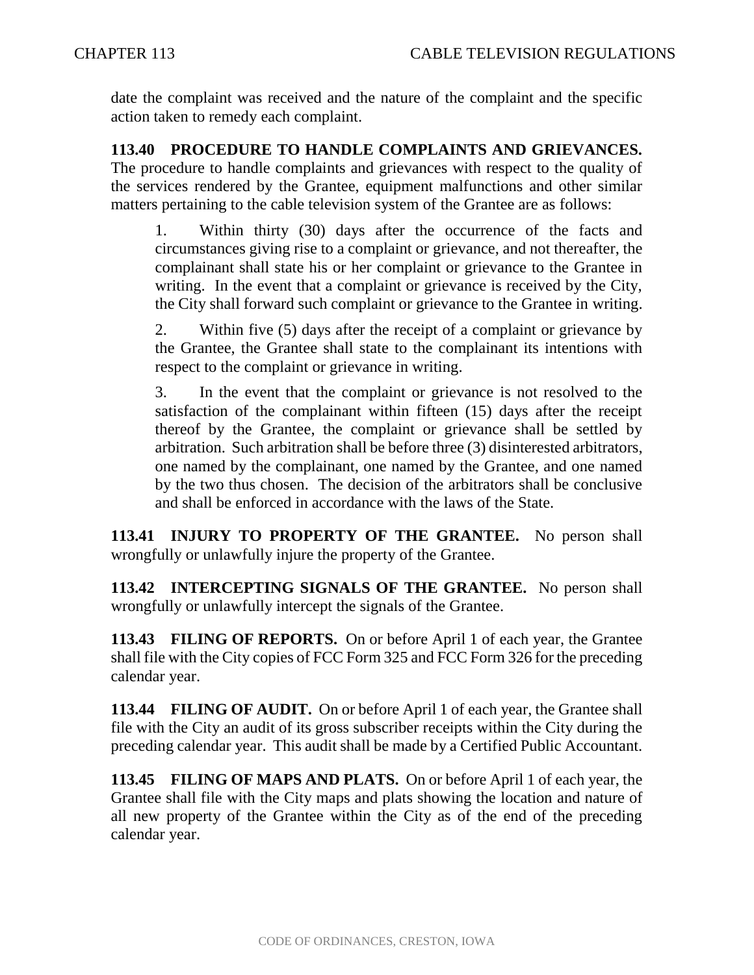date the complaint was received and the nature of the complaint and the specific action taken to remedy each complaint.

**113.40 PROCEDURE TO HANDLE COMPLAINTS AND GRIEVANCES.**  The procedure to handle complaints and grievances with respect to the quality of the services rendered by the Grantee, equipment malfunctions and other similar matters pertaining to the cable television system of the Grantee are as follows:

1. Within thirty (30) days after the occurrence of the facts and circumstances giving rise to a complaint or grievance, and not thereafter, the complainant shall state his or her complaint or grievance to the Grantee in writing. In the event that a complaint or grievance is received by the City, the City shall forward such complaint or grievance to the Grantee in writing.

2. Within five (5) days after the receipt of a complaint or grievance by the Grantee, the Grantee shall state to the complainant its intentions with respect to the complaint or grievance in writing.

3. In the event that the complaint or grievance is not resolved to the satisfaction of the complainant within fifteen (15) days after the receipt thereof by the Grantee, the complaint or grievance shall be settled by arbitration. Such arbitration shall be before three (3) disinterested arbitrators, one named by the complainant, one named by the Grantee, and one named by the two thus chosen. The decision of the arbitrators shall be conclusive and shall be enforced in accordance with the laws of the State.

**113.41 INJURY TO PROPERTY OF THE GRANTEE.** No person shall wrongfully or unlawfully injure the property of the Grantee.

**113.42 INTERCEPTING SIGNALS OF THE GRANTEE.** No person shall wrongfully or unlawfully intercept the signals of the Grantee.

**113.43 FILING OF REPORTS.** On or before April 1 of each year, the Grantee shall file with the City copies of FCC Form 325 and FCC Form 326 for the preceding calendar year.

**113.44 FILING OF AUDIT.** On or before April 1 of each year, the Grantee shall file with the City an audit of its gross subscriber receipts within the City during the preceding calendar year. This audit shall be made by a Certified Public Accountant.

**113.45 FILING OF MAPS AND PLATS.** On or before April 1 of each year, the Grantee shall file with the City maps and plats showing the location and nature of all new property of the Grantee within the City as of the end of the preceding calendar year.